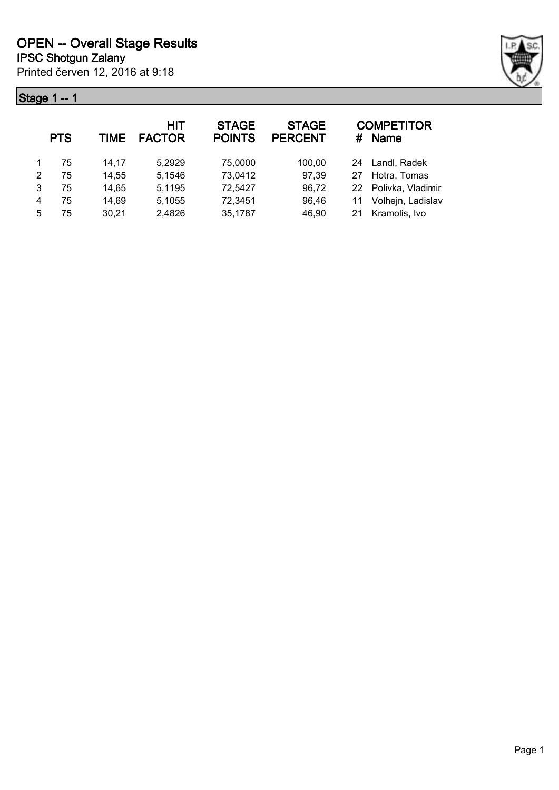## **Stage 1 -- 1**



|   | <b>PTS</b> | TIME  | <b>HIT</b><br><b>FACTOR</b> | <b>STAGE</b><br><b>POINTS</b> | <b>STAGE</b><br><b>PERCENT</b> |    | <b>COMPETITOR</b><br># Name |
|---|------------|-------|-----------------------------|-------------------------------|--------------------------------|----|-----------------------------|
|   | 75         | 14,17 | 5,2929                      | 75,0000                       | 100,00                         |    | 24 Landl, Radek             |
| 2 | 75         | 14,55 | 5,1546                      | 73,0412                       | 97,39                          | 27 | Hotra, Tomas                |
| 3 | 75         | 14,65 | 5,1195                      | 72,5427                       | 96,72                          |    | 22 Polivka, Vladimir        |
| 4 | 75         | 14,69 | 5,1055                      | 72,3451                       | 96,46                          |    | Volhejn, Ladislav           |
| 5 | 75         | 30,21 | 2,4826                      | 35,1787                       | 46,90                          | 21 | Kramolis, Ivo               |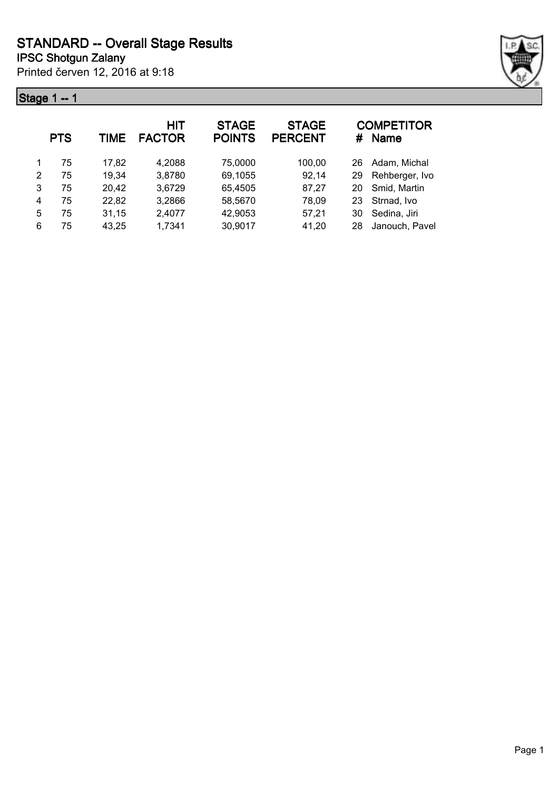## **Stage 1 -- 1**



|   | <b>PTS</b> | TIME  | HIT<br><b>FACTOR</b> | <b>STAGE</b><br><b>POINTS</b> | <b>STAGE</b><br><b>PERCENT</b> | #  | <b>COMPETITOR</b><br><b>Name</b> |
|---|------------|-------|----------------------|-------------------------------|--------------------------------|----|----------------------------------|
|   | 75         | 17,82 | 4,2088               | 75,0000                       | 100,00                         | 26 | Adam, Michal                     |
| 2 | 75         | 19,34 | 3,8780               | 69,1055                       | 92,14                          | 29 | Rehberger, Ivo                   |
| 3 | 75         | 20,42 | 3,6729               | 65,4505                       | 87,27                          | 20 | Smid, Martin                     |
| 4 | 75         | 22,82 | 3,2866               | 58,5670                       | 78,09                          | 23 | Strnad, Ivo                      |
| 5 | 75         | 31,15 | 2,4077               | 42,9053                       | 57,21                          | 30 | Sedina, Jiri                     |
| 6 | 75         | 43,25 | 1,7341               | 30,9017                       | 41,20                          | 28 | Janouch, Pavel                   |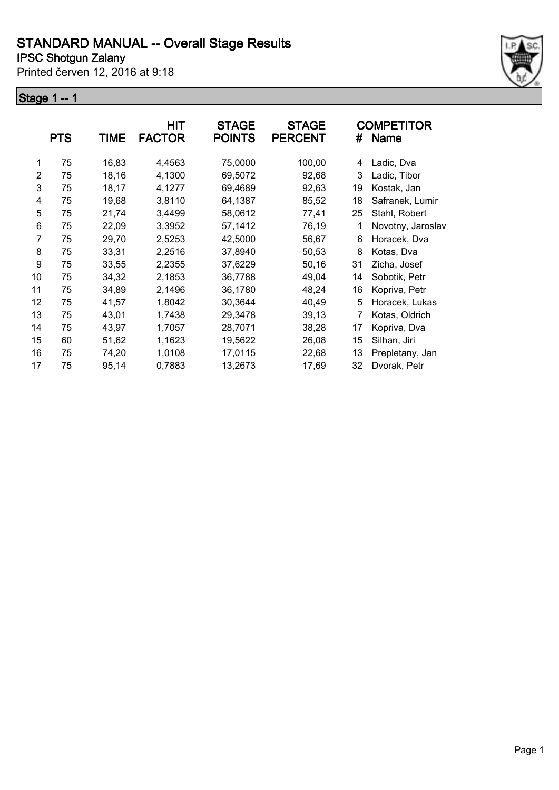Printed červen 12, 2016 at 9:18

#### **Stage 1 -- 1**



|    | <b>PTS</b> | TIME  | HIT<br><b>FACTOR</b> | <b>STAGE</b><br><b>POINTS</b> | <b>STAGE</b><br><b>PERCENT</b> | #  | COMPETITOR<br><b>Name</b> |
|----|------------|-------|----------------------|-------------------------------|--------------------------------|----|---------------------------|
|    |            |       |                      |                               |                                |    |                           |
| 1  | 75         | 16,83 | 4,4563               | 75,0000                       | 100,00                         | 4  | Ladic, Dva                |
| 2  | 75         | 18,16 | 4,1300               | 69,5072                       | 92,68                          | 3  | Ladic, Tibor              |
| 3  | 75         | 18,17 | 4,1277               | 69,4689                       | 92,63                          | 19 | Kostak, Jan               |
| 4  | 75         | 19,68 | 3,8110               | 64,1387                       | 85,52                          | 18 | Safranek, Lumir           |
| 5  | 75         | 21,74 | 3,4499               | 58,0612                       | 77,41                          | 25 | Stahl, Robert             |
| 6  | 75         | 22,09 | 3,3952               | 57,1412                       | 76,19                          | 1  | Novotny, Jaroslav         |
| 7  | 75         | 29,70 | 2,5253               | 42,5000                       | 56,67                          | 6  | Horacek, Dva              |
| 8  | 75         | 33,31 | 2,2516               | 37,8940                       | 50,53                          | 8  | Kotas, Dva                |
| 9  | 75         | 33,55 | 2,2355               | 37,6229                       | 50,16                          | 31 | Zicha, Josef              |
| 10 | 75         | 34,32 | 2,1853               | 36,7788                       | 49,04                          | 14 | Sobotik, Petr             |
| 11 | 75         | 34,89 | 2,1496               | 36,1780                       | 48,24                          | 16 | Kopriva, Petr             |
| 12 | 75         | 41,57 | 1,8042               | 30,3644                       | 40,49                          | 5  | Horacek, Lukas            |
| 13 | 75         | 43,01 | 1,7438               | 29,3478                       | 39,13                          | 7  | Kotas, Oldrich            |
| 14 | 75         | 43,97 | 1,7057               | 28,7071                       | 38,28                          | 17 | Kopriva, Dva              |
| 15 | 60         | 51,62 | 1,1623               | 19,5622                       | 26,08                          | 15 | Silhan, Jiri              |
| 16 | 75         | 74,20 | 1,0108               | 17,0115                       | 22,68                          | 13 | Prepletany, Jan           |
| 17 | 75         | 95,14 | 0,7883               | 13,2673                       | 17,69                          | 32 | Dvorak, Petr              |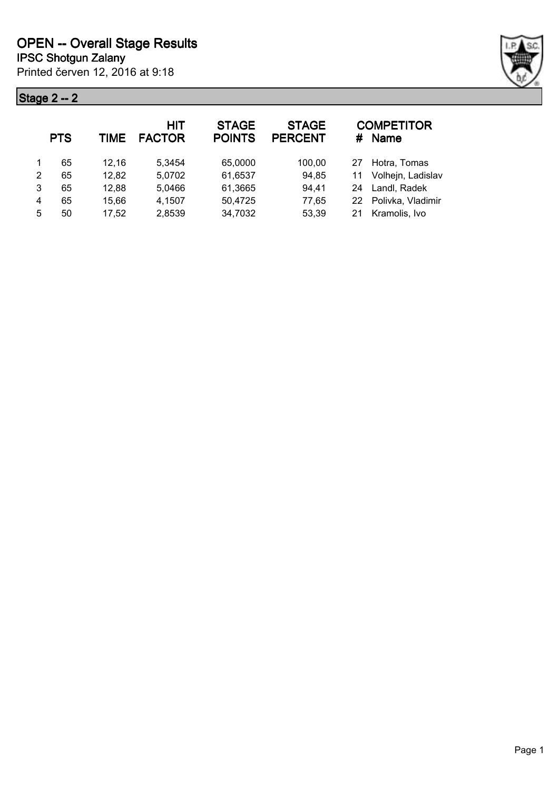## **Stage 2 -- 2**



|   | <b>PTS</b> | TIME  | <b>HIT</b><br><b>FACTOR</b> | <b>STAGE</b><br><b>POINTS</b> | <b>STAGE</b><br><b>PERCENT</b> | #  | <b>COMPETITOR</b><br><b>Name</b> |
|---|------------|-------|-----------------------------|-------------------------------|--------------------------------|----|----------------------------------|
|   | 65         | 12.16 | 5.3454                      | 65,0000                       | 100,00                         | 27 | Hotra, Tomas                     |
| 2 | 65         | 12,82 | 5,0702                      | 61,6537                       | 94,85                          | 11 | Volhejn, Ladislav                |
| 3 | 65         | 12,88 | 5,0466                      | 61,3665                       | 94,41                          | 24 | Landl, Radek                     |
| 4 | 65         | 15,66 | 4,1507                      | 50,4725                       | 77,65                          |    | 22 Polivka, Vladimir             |
| 5 | 50         | 17,52 | 2,8539                      | 34,7032                       | 53,39                          | 21 | Kramolis, Ivo                    |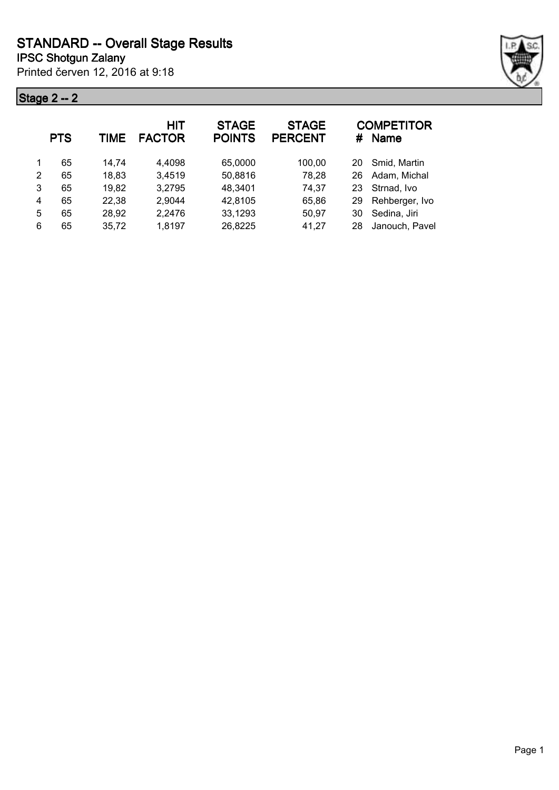## **Stage 2 -- 2**



|   | <b>PTS</b> | TIME  | HIT<br><b>FACTOR</b> | <b>STAGE</b><br><b>POINTS</b> | <b>STAGE</b><br><b>PERCENT</b> | #  | <b>COMPETITOR</b><br><b>Name</b> |
|---|------------|-------|----------------------|-------------------------------|--------------------------------|----|----------------------------------|
|   | 65         | 14.74 | 4,4098               | 65,0000                       | 100,00                         | 20 | Smid, Martin                     |
| 2 | 65         | 18,83 | 3,4519               | 50,8816                       | 78,28                          | 26 | Adam, Michal                     |
| 3 | 65         | 19,82 | 3,2795               | 48,3401                       | 74,37                          | 23 | Strnad, Ivo                      |
| 4 | 65         | 22,38 | 2,9044               | 42,8105                       | 65,86                          | 29 | Rehberger, Ivo                   |
| 5 | 65         | 28,92 | 2,2476               | 33,1293                       | 50,97                          | 30 | Sedina, Jiri                     |
| 6 | 65         | 35,72 | 1,8197               | 26,8225                       | 41,27                          | 28 | Janouch, Pavel                   |
|   |            |       |                      |                               |                                |    |                                  |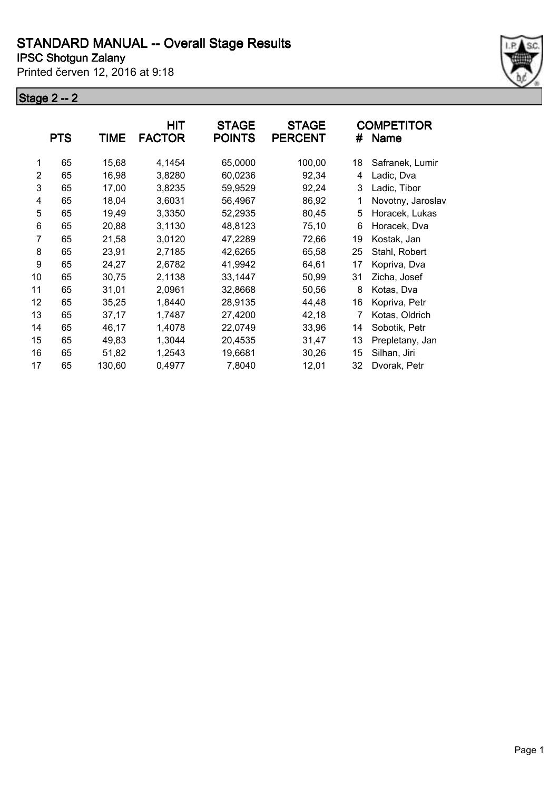Printed červen 12, 2016 at 9:18

#### **Stage 2 -- 2**



|                | <b>PTS</b> | <b>TIME</b> | HIT<br><b>FACTOR</b> | <b>STAGE</b><br><b>POINTS</b> | <b>STAGE</b><br><b>PERCENT</b> | #  | <b>COMPETITOR</b><br><b>Name</b> |
|----------------|------------|-------------|----------------------|-------------------------------|--------------------------------|----|----------------------------------|
| 1              | 65         | 15,68       | 4,1454               | 65,0000                       | 100,00                         | 18 | Safranek, Lumir                  |
| $\overline{2}$ | 65         | 16,98       | 3,8280               | 60,0236                       | 92,34                          | 4  | Ladic, Dva                       |
| 3              | 65         | 17,00       | 3,8235               | 59,9529                       | 92,24                          | 3  | Ladic, Tibor                     |
| 4              | 65         | 18,04       | 3,6031               | 56,4967                       | 86,92                          | 1  | Novotny, Jaroslav                |
| 5              | 65         | 19,49       | 3,3350               | 52,2935                       | 80,45                          | 5  | Horacek, Lukas                   |
| 6              | 65         | 20,88       | 3,1130               | 48,8123                       | 75,10                          | 6  | Horacek, Dva                     |
| 7              | 65         | 21,58       | 3,0120               | 47,2289                       | 72,66                          | 19 | Kostak, Jan                      |
| 8              | 65         | 23,91       | 2,7185               | 42,6265                       | 65,58                          | 25 | Stahl, Robert                    |
| 9              | 65         | 24,27       | 2,6782               | 41,9942                       | 64,61                          | 17 | Kopriva, Dva                     |
| 10             | 65         | 30,75       | 2,1138               | 33,1447                       | 50,99                          | 31 | Zicha, Josef                     |
| 11             | 65         | 31,01       | 2,0961               | 32,8668                       | 50,56                          | 8  | Kotas, Dva                       |
| 12             | 65         | 35,25       | 1,8440               | 28,9135                       | 44,48                          | 16 | Kopriva, Petr                    |
| 13             | 65         | 37,17       | 1,7487               | 27,4200                       | 42,18                          | 7  | Kotas, Oldrich                   |
| 14             | 65         | 46,17       | 1,4078               | 22,0749                       | 33,96                          | 14 | Sobotik, Petr                    |
| 15             | 65         | 49,83       | 1,3044               | 20,4535                       | 31,47                          | 13 | Prepletany, Jan                  |
| 16             | 65         | 51,82       | 1,2543               | 19,6681                       | 30,26                          | 15 | Silhan, Jiri                     |
| 17             | 65         | 130,60      | 0,4977               | 7,8040                        | 12,01                          | 32 | Dvorak, Petr                     |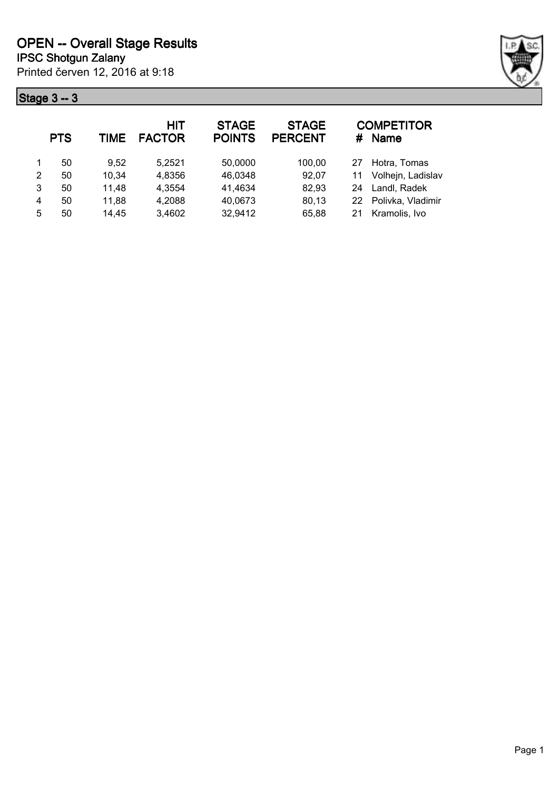## **Stage 3 -- 3**



|   | <b>PTS</b> | TIME  | HIT<br><b>FACTOR</b> | <b>STAGE</b><br><b>POINTS</b> | <b>STAGE</b><br><b>PERCENT</b> | #  | <b>COMPETITOR</b><br>Name |
|---|------------|-------|----------------------|-------------------------------|--------------------------------|----|---------------------------|
|   | 50         | 9.52  | 5,2521               | 50,0000                       | 100,00                         | 27 | Hotra, Tomas              |
| 2 | 50         | 10,34 | 4,8356               | 46,0348                       | 92,07                          | 11 | Volhejn, Ladislav         |
| 3 | 50         | 11,48 | 4,3554               | 41,4634                       | 82,93                          | 24 | Landl, Radek              |
| 4 | 50         | 11,88 | 4,2088               | 40,0673                       | 80,13                          |    | 22 Polivka, Vladimir      |
| 5 | 50         | 14,45 | 3,4602               | 32,9412                       | 65,88                          | 21 | Kramolis, Ivo             |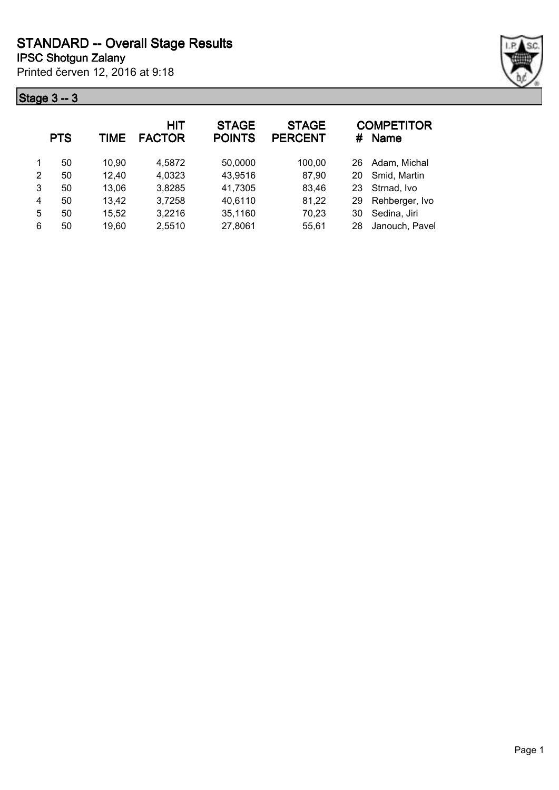## **Stage 3 -- 3**



|   | <b>PTS</b> | <b>TIME</b> | HIT<br><b>FACTOR</b> | <b>STAGE</b><br><b>POINTS</b> | <b>STAGE</b><br><b>PERCENT</b> | #  | <b>COMPETITOR</b><br><b>Name</b> |
|---|------------|-------------|----------------------|-------------------------------|--------------------------------|----|----------------------------------|
| 1 | 50         | 10.90       | 4,5872               | 50,0000                       | 100,00                         | 26 | Adam, Michal                     |
| 2 | 50         | 12,40       | 4,0323               | 43,9516                       | 87,90                          | 20 | Smid, Martin                     |
| 3 | 50         | 13,06       | 3,8285               | 41,7305                       | 83,46                          | 23 | Strnad, Ivo                      |
| 4 | 50         | 13,42       | 3,7258               | 40,6110                       | 81,22                          | 29 | Rehberger, Ivo                   |
| 5 | 50         | 15,52       | 3,2216               | 35,1160                       | 70,23                          | 30 | Sedina, Jiri                     |
| 6 | 50         | 19,60       | 2,5510               | 27,8061                       | 55,61                          | 28 | Janouch, Pavel                   |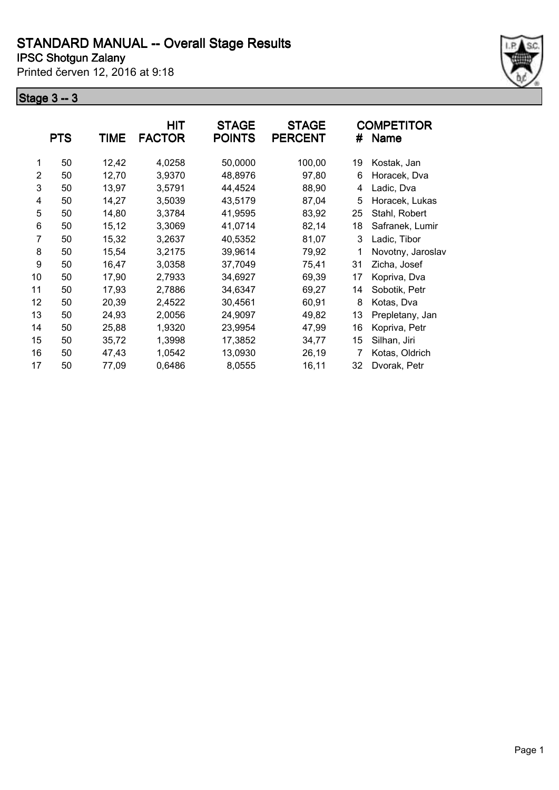Printed červen 12, 2016 at 9:18

#### **Stage 3 -- 3**



|                | <b>PTS</b> | <b>TIME</b> | HIT<br><b>FACTOR</b> | <b>STAGE</b><br><b>POINTS</b> | <b>STAGE</b><br><b>PERCENT</b> | #  | COMPETITOR<br><b>Name</b> |
|----------------|------------|-------------|----------------------|-------------------------------|--------------------------------|----|---------------------------|
| 1              | 50         | 12,42       | 4,0258               | 50,0000                       | 100,00                         | 19 | Kostak, Jan               |
| $\overline{2}$ | 50         | 12,70       | 3,9370               | 48,8976                       | 97,80                          | 6  | Horacek, Dva              |
| 3              | 50         | 13,97       | 3,5791               | 44,4524                       | 88,90                          | 4  | Ladic, Dva                |
| 4              | 50         | 14,27       | 3,5039               | 43,5179                       | 87,04                          | 5  | Horacek, Lukas            |
| 5              | 50         | 14,80       | 3,3784               | 41,9595                       | 83,92                          | 25 | Stahl, Robert             |
| 6              | 50         | 15,12       | 3,3069               | 41,0714                       | 82,14                          | 18 | Safranek, Lumir           |
| 7              | 50         | 15,32       | 3,2637               | 40,5352                       | 81,07                          | 3  | Ladic, Tibor              |
| 8              | 50         | 15,54       | 3,2175               | 39,9614                       | 79,92                          | 1  | Novotny, Jaroslav         |
| 9              | 50         | 16,47       | 3,0358               | 37,7049                       | 75,41                          | 31 | Zicha, Josef              |
| 10             | 50         | 17,90       | 2,7933               | 34,6927                       | 69,39                          | 17 | Kopriva, Dva              |
| 11             | 50         | 17,93       | 2,7886               | 34,6347                       | 69,27                          | 14 | Sobotik, Petr             |
| 12             | 50         | 20,39       | 2,4522               | 30,4561                       | 60,91                          | 8  | Kotas, Dva                |
| 13             | 50         | 24,93       | 2,0056               | 24,9097                       | 49,82                          | 13 | Prepletany, Jan           |
| 14             | 50         | 25,88       | 1,9320               | 23,9954                       | 47,99                          | 16 | Kopriva, Petr             |
| 15             | 50         | 35,72       | 1,3998               | 17,3852                       | 34,77                          | 15 | Silhan, Jiri              |
| 16             | 50         | 47,43       | 1,0542               | 13,0930                       | 26,19                          | 7  | Kotas, Oldrich            |
| 17             | 50         | 77,09       | 0,6486               | 8,0555                        | 16,11                          | 32 | Dvorak, Petr              |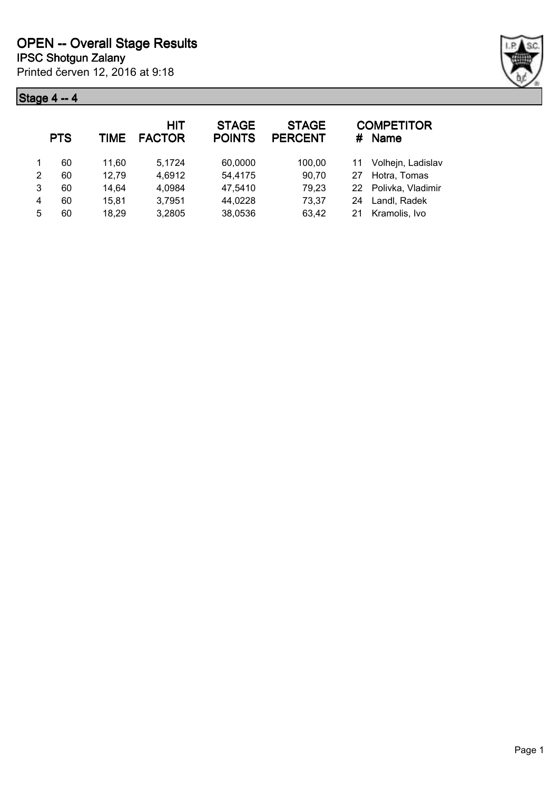## **Stage 4 -- 4**



|   | <b>PTS</b> | TIME  | HIT<br><b>FACTOR</b> | <b>STAGE</b><br><b>POINTS</b> | <b>STAGE</b><br><b>PERCENT</b> |    | <b>COMPETITOR</b><br># Name |
|---|------------|-------|----------------------|-------------------------------|--------------------------------|----|-----------------------------|
| 1 | 60         | 11.60 | 5.1724               | 60,0000                       | 100,00                         | 11 | Volhejn, Ladislav           |
| 2 | 60         | 12,79 | 4,6912               | 54,4175                       | 90,70                          | 27 | Hotra, Tomas                |
| 3 | 60         | 14,64 | 4,0984               | 47,5410                       | 79,23                          |    | 22 Polivka, Vladimir        |
| 4 | 60         | 15,81 | 3,7951               | 44,0228                       | 73,37                          | 24 | Landl, Radek                |
| 5 | 60         | 18,29 | 3,2805               | 38,0536                       | 63,42                          | 21 | Kramolis, Ivo               |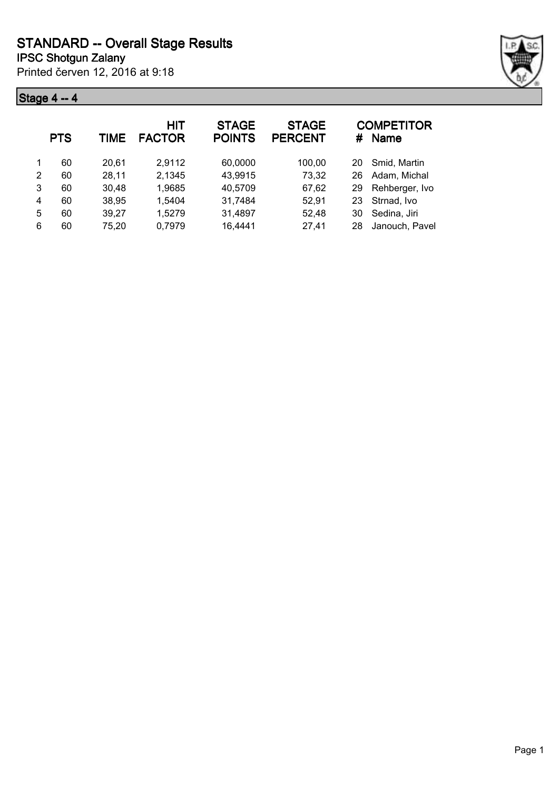## **Stage 4 -- 4**



|   | <b>PTS</b> | <b>TIME</b> | HIT<br><b>FACTOR</b> | <b>STAGE</b><br><b>POINTS</b> | <b>STAGE</b><br><b>PERCENT</b> | #  | <b>COMPETITOR</b><br><b>Name</b> |
|---|------------|-------------|----------------------|-------------------------------|--------------------------------|----|----------------------------------|
|   | 60         | 20,61       | 2,9112               | 60,0000                       | 100,00                         | 20 | Smid, Martin                     |
| 2 | 60         | 28,11       | 2,1345               | 43,9915                       | 73,32                          | 26 | Adam, Michal                     |
| 3 | 60         | 30,48       | 1,9685               | 40,5709                       | 67,62                          | 29 | Rehberger, Ivo                   |
| 4 | 60         | 38,95       | 1,5404               | 31,7484                       | 52,91                          | 23 | Strnad, Ivo                      |
| 5 | 60         | 39,27       | 1,5279               | 31,4897                       | 52,48                          | 30 | Sedina, Jiri                     |
| 6 | 60         | 75,20       | 0,7979               | 16,4441                       | 27,41                          | 28 | Janouch, Pavel                   |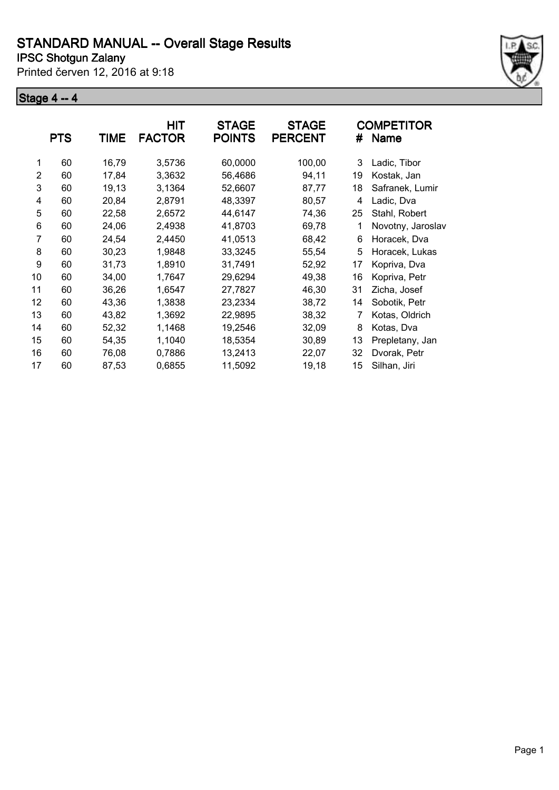Printed červen 12, 2016 at 9:18

#### **Stage 4 -- 4**



|    | <b>PTS</b> | TIME  | HIT<br><b>FACTOR</b> | <b>STAGE</b><br><b>POINTS</b> | <b>STAGE</b><br><b>PERCENT</b> | #  | <b>COMPETITOR</b><br>Name |
|----|------------|-------|----------------------|-------------------------------|--------------------------------|----|---------------------------|
| 1  | 60         | 16,79 | 3,5736               | 60,0000                       | 100,00                         | 3  | Ladic, Tibor              |
| 2  | 60         | 17,84 | 3,3632               | 56,4686                       | 94,11                          | 19 | Kostak, Jan               |
| 3  | 60         | 19,13 | 3,1364               | 52,6607                       | 87,77                          | 18 | Safranek, Lumir           |
| 4  | 60         | 20,84 | 2,8791               | 48,3397                       | 80,57                          | 4  | Ladic, Dva                |
| 5  | 60         | 22,58 | 2,6572               | 44,6147                       | 74,36                          | 25 | Stahl, Robert             |
| 6  | 60         | 24,06 | 2,4938               | 41,8703                       | 69,78                          | 1  | Novotny, Jaroslav         |
| 7  | 60         | 24,54 | 2,4450               | 41,0513                       | 68,42                          | 6  | Horacek, Dva              |
| 8  | 60         | 30,23 | 1,9848               | 33,3245                       | 55,54                          | 5  | Horacek, Lukas            |
| 9  | 60         | 31,73 | 1,8910               | 31,7491                       | 52,92                          | 17 | Kopriva, Dva              |
| 10 | 60         | 34,00 | 1,7647               | 29,6294                       | 49,38                          | 16 | Kopriva, Petr             |
| 11 | 60         | 36,26 | 1,6547               | 27,7827                       | 46,30                          | 31 | Zicha, Josef              |
| 12 | 60         | 43,36 | 1,3838               | 23,2334                       | 38,72                          | 14 | Sobotik, Petr             |
| 13 | 60         | 43,82 | 1,3692               | 22,9895                       | 38,32                          | 7  | Kotas, Oldrich            |
| 14 | 60         | 52,32 | 1,1468               | 19,2546                       | 32,09                          | 8  | Kotas, Dva                |
| 15 | 60         | 54,35 | 1,1040               | 18,5354                       | 30,89                          | 13 | Prepletany, Jan           |
| 16 | 60         | 76,08 | 0,7886               | 13,2413                       | 22,07                          | 32 | Dvorak, Petr              |
| 17 | 60         | 87,53 | 0,6855               | 11,5092                       | 19,18                          | 15 | Silhan, Jiri              |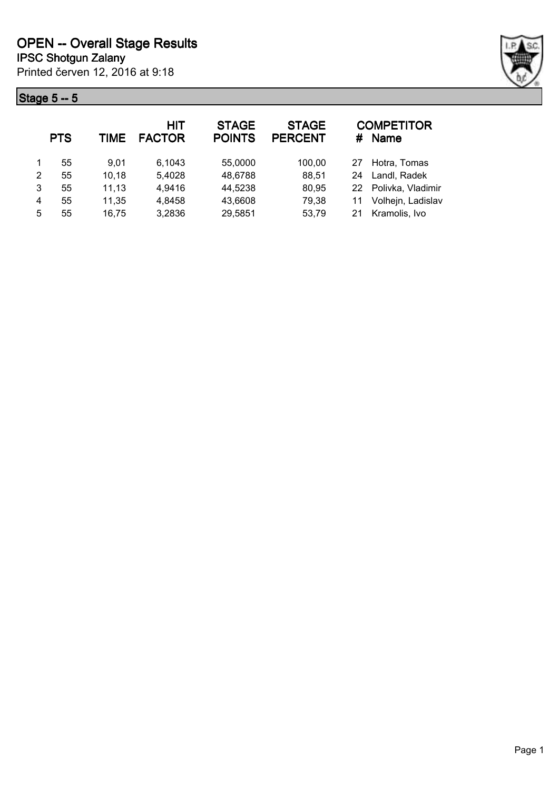## **Stage 5 -- 5**



|   | <b>PTS</b> | TIME  | <b>HIT</b><br><b>FACTOR</b> | <b>STAGE</b><br><b>POINTS</b> | <b>STAGE</b><br><b>PERCENT</b> | #  | <b>COMPETITOR</b><br>Name |
|---|------------|-------|-----------------------------|-------------------------------|--------------------------------|----|---------------------------|
|   | 55         | 9.01  | 6,1043                      | 55,0000                       | 100,00                         | 27 | Hotra, Tomas              |
| 2 | 55         | 10,18 | 5,4028                      | 48,6788                       | 88,51                          | 24 | Landl, Radek              |
| 3 | 55         | 11,13 | 4,9416                      | 44,5238                       | 80,95                          |    | 22 Polivka, Vladimir      |
| 4 | 55         | 11,35 | 4,8458                      | 43,6608                       | 79,38                          | 11 | Volhejn, Ladislav         |
| 5 | 55         | 16,75 | 3,2836                      | 29,5851                       | 53,79                          | 21 | Kramolis, Ivo             |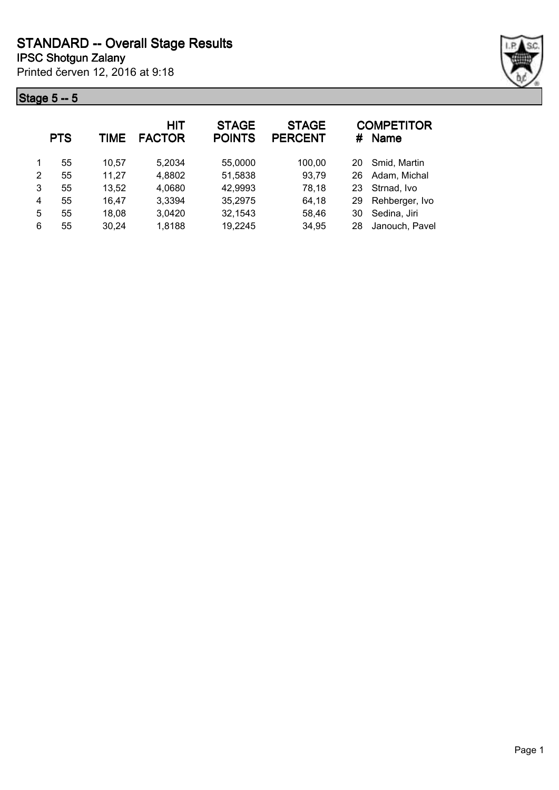## **Stage 5 -- 5**



|   | <b>PTS</b> | <b>TIME</b> | HIT<br><b>FACTOR</b> | <b>STAGE</b><br><b>POINTS</b> | <b>STAGE</b><br><b>PERCENT</b> | #  | <b>COMPETITOR</b><br><b>Name</b> |
|---|------------|-------------|----------------------|-------------------------------|--------------------------------|----|----------------------------------|
|   | 55         | 10.57       | 5,2034               | 55,0000                       | 100,00                         | 20 | Smid, Martin                     |
| 2 | 55         | 11,27       | 4,8802               | 51,5838                       | 93,79                          | 26 | Adam, Michal                     |
| 3 | 55         | 13,52       | 4,0680               | 42,9993                       | 78,18                          | 23 | Strnad, Ivo                      |
| 4 | 55         | 16,47       | 3,3394               | 35,2975                       | 64,18                          | 29 | Rehberger, Ivo                   |
| 5 | 55         | 18,08       | 3,0420               | 32,1543                       | 58,46                          | 30 | Sedina, Jiri                     |
| 6 | 55         | 30,24       | 1,8188               | 19,2245                       | 34,95                          | 28 | Janouch, Pavel                   |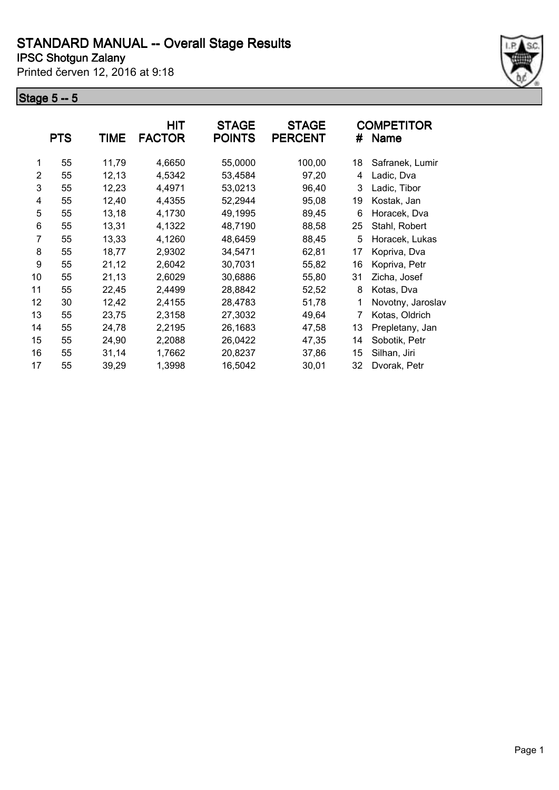Printed červen 12, 2016 at 9:18

#### **Stage 5 -- 5**



|    | <b>PTS</b> | TIME  | <b>HIT</b><br><b>FACTOR</b> | <b>STAGE</b><br><b>POINTS</b> | <b>STAGE</b><br><b>PERCENT</b> | #  | <b>COMPETITOR</b><br><b>Name</b> |
|----|------------|-------|-----------------------------|-------------------------------|--------------------------------|----|----------------------------------|
| 1  | 55         | 11,79 | 4,6650                      | 55,0000                       | 100,00                         | 18 | Safranek, Lumir                  |
| 2  | 55         | 12,13 | 4,5342                      | 53,4584                       | 97,20                          | 4  | Ladic, Dva                       |
| 3  | 55         | 12,23 | 4,4971                      | 53,0213                       | 96,40                          | 3  | Ladic, Tibor                     |
| 4  | 55         | 12,40 | 4,4355                      | 52,2944                       | 95,08                          | 19 | Kostak, Jan                      |
| 5  | 55         | 13,18 | 4,1730                      | 49,1995                       | 89,45                          | 6  | Horacek, Dva                     |
| 6  | 55         | 13,31 | 4,1322                      | 48,7190                       | 88,58                          | 25 | Stahl, Robert                    |
| 7  | 55         | 13,33 | 4,1260                      | 48,6459                       | 88,45                          | 5  | Horacek, Lukas                   |
| 8  | 55         | 18,77 | 2,9302                      | 34,5471                       | 62,81                          | 17 | Kopriva, Dva                     |
| 9  | 55         | 21,12 | 2,6042                      | 30,7031                       | 55,82                          | 16 | Kopriva, Petr                    |
| 10 | 55         | 21,13 | 2,6029                      | 30,6886                       | 55,80                          | 31 | Zicha, Josef                     |
| 11 | 55         | 22,45 | 2,4499                      | 28,8842                       | 52,52                          | 8  | Kotas, Dva                       |
| 12 | 30         | 12,42 | 2,4155                      | 28,4783                       | 51,78                          | 1  | Novotny, Jaroslav                |
| 13 | 55         | 23,75 | 2,3158                      | 27,3032                       | 49,64                          | 7  | Kotas, Oldrich                   |
| 14 | 55         | 24,78 | 2,2195                      | 26,1683                       | 47,58                          | 13 | Prepletany, Jan                  |
| 15 | 55         | 24,90 | 2,2088                      | 26,0422                       | 47,35                          | 14 | Sobotik, Petr                    |
| 16 | 55         | 31,14 | 1,7662                      | 20,8237                       | 37,86                          | 15 | Silhan, Jiri                     |
| 17 | 55         | 39,29 | 1,3998                      | 16,5042                       | 30,01                          | 32 | Dvorak, Petr                     |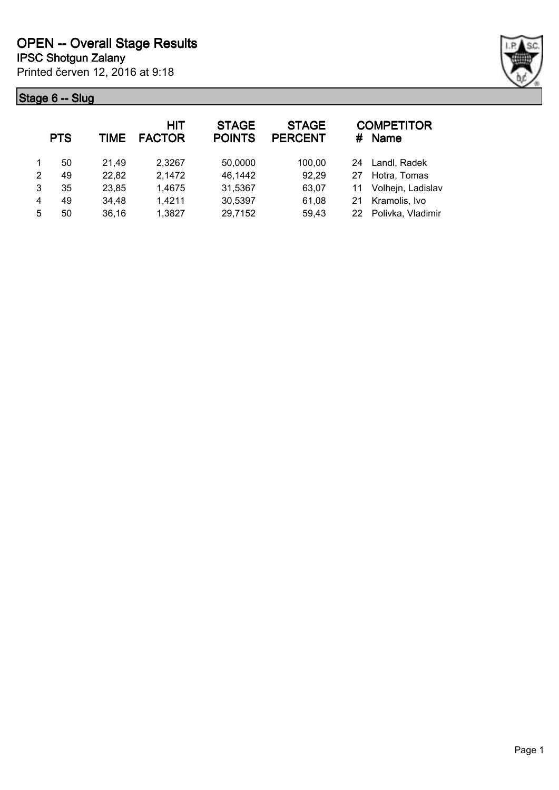**Stage 6 -- Slug**



|               | <b>PTS</b> | TIME  | <b>HIT</b><br><b>FACTOR</b> | <b>STAGE</b><br><b>POINTS</b> | <b>STAGE</b><br><b>PERCENT</b> |    | <b>COMPETITOR</b><br># Name |
|---------------|------------|-------|-----------------------------|-------------------------------|--------------------------------|----|-----------------------------|
|               | 50         | 21,49 | 2,3267                      | 50,0000                       | 100,00                         |    | 24 Landl, Radek             |
| $\mathcal{P}$ | 49         | 22,82 | 2,1472                      | 46,1442                       | 92,29                          | 27 | Hotra, Tomas                |
| 3             | 35         | 23,85 | 1,4675                      | 31,5367                       | 63,07                          | 11 | Volhejn, Ladislav           |
| 4             | 49         | 34,48 | 1,4211                      | 30,5397                       | 61,08                          | 21 | Kramolis, Ivo               |
| 5             | 50         | 36,16 | 1,3827                      | 29,7152                       | 59,43                          | 22 | Polivka, Vladimir           |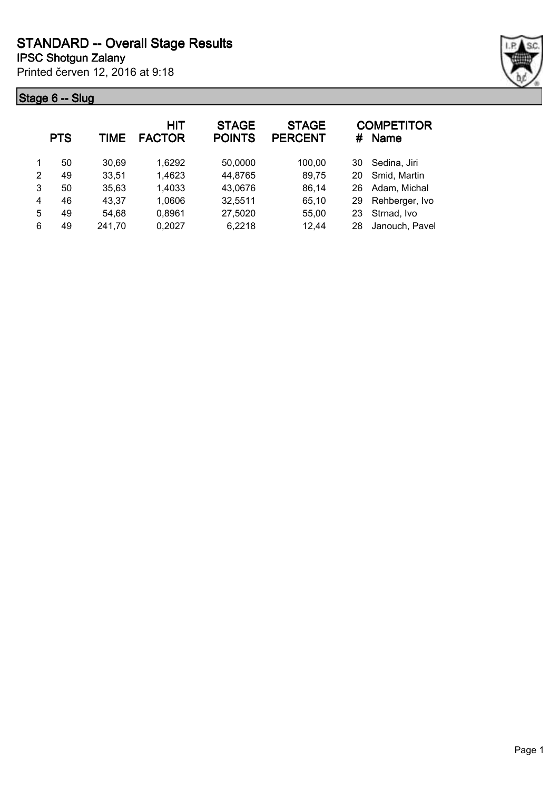## **Stage 6 -- Slug**



|   | <b>PTS</b> | TIME   | HIT<br><b>FACTOR</b> | <b>STAGE</b><br><b>POINTS</b> | <b>STAGE</b><br><b>PERCENT</b> | #  | <b>COMPETITOR</b><br><b>Name</b> |
|---|------------|--------|----------------------|-------------------------------|--------------------------------|----|----------------------------------|
| 1 | 50         | 30,69  | 1,6292               | 50,0000                       | 100,00                         | 30 | Sedina, Jiri                     |
| 2 | 49         | 33,51  | 1,4623               | 44,8765                       | 89,75                          | 20 | Smid, Martin                     |
| 3 | 50         | 35,63  | 1,4033               | 43,0676                       | 86,14                          | 26 | Adam, Michal                     |
| 4 | 46         | 43,37  | 1,0606               | 32,5511                       | 65,10                          | 29 | Rehberger, Ivo                   |
| 5 | 49         | 54,68  | 0,8961               | 27,5020                       | 55,00                          | 23 | Strnad, Ivo                      |
| 6 | 49         | 241,70 | 0,2027               | 6,2218                        | 12,44                          | 28 | Janouch, Pavel                   |